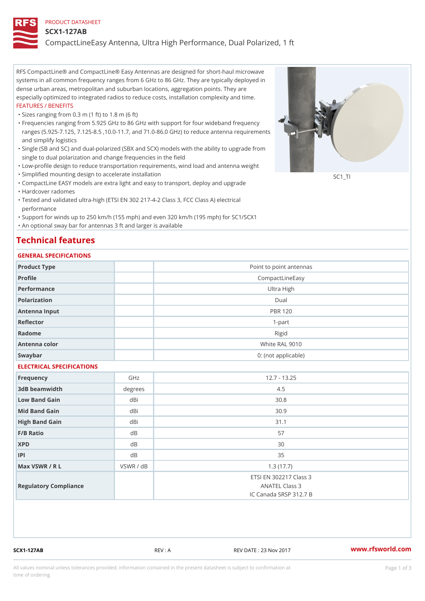#### PRODUCT DATASHEET

#### SCX1-127AB

CompactLineEasy Antenna, Ultra High Performance, Dual Polarized, 1 ft

RFS CompactLine® and CompactLine® Easy Antennas are designed for short-haul microwave systems in all common frequency ranges from 6 GHz to 86 GHz. They are typically deployed in dense urban areas, metropolitan and suburban locations, aggregation points. They are especially optimized to integrated radios to reduce costs, installation complexity and time. FEATURES / BENEFITS

"Sizes ranging from 0.3 m (1 ft) to 1.8 m (6 ft)

- Frequencies ranging from 5.925 GHz to 86 GHz with support for four wideband frequency " ranges (5.925-7.125, 7.125-8.5 ,10.0-11.7, and 71.0-86.0 GHz) to reduce antenna requirements and simplify logistics
- Single (SB and SC) and dual-polarized (SBX and SCX) models with the ability to upgrade from " single to dual polarization and change frequencies in the field
- "Low-profile design to reduce transportation requirements, wind load and antenna weight
- "Simplified mounting design to accelerate installation

 "CompactLine EASY models are extra light and easy to transport, deploy and upgrade "Hardcover radomes

Tested and validated ultra-high (ETSI EN 302 217-4-2 Class 3, FCC Class A) electrical " performance

 "Support for winds up to 250 km/h (155 mph) and even 320 km/h (195 mph) for SC1/SCX1 "An optional sway bar for antennas 3 ft and larger is available

## Technical features

## GENERAL SPECIFICATIONS

| GENERAL SELGIFICATIONS    |           |                                          |  |  |  |  |
|---------------------------|-----------|------------------------------------------|--|--|--|--|
| Product Type              |           | Point to point antennas                  |  |  |  |  |
| Profile                   |           | CompactLineEasy                          |  |  |  |  |
| Performance               |           | Ultra High                               |  |  |  |  |
| Polarization              | Dual      |                                          |  |  |  |  |
| Antenna Input             |           | <b>PBR 120</b>                           |  |  |  |  |
| Reflector                 |           | $1-part$                                 |  |  |  |  |
| Radome                    |           | Rigid                                    |  |  |  |  |
| Antenna color             |           | White RAL 9010                           |  |  |  |  |
| Swaybar                   |           | 0: (not applicable)                      |  |  |  |  |
| ELECTRICAL SPECIFICATIONS |           |                                          |  |  |  |  |
| Frequency                 | GHz       | $12.7 - 13.25$                           |  |  |  |  |
| 3dB beamwidth             | degree:   | 4.5                                      |  |  |  |  |
| Low Band Gain             | dBi       | 30.8                                     |  |  |  |  |
| Mid Band Gain             | dBi       | 30.9                                     |  |  |  |  |
| High Band Gain            | dBi       | 31.1                                     |  |  |  |  |
| F/B Ratio                 | d B       | 57                                       |  |  |  |  |
| <b>XPD</b>                | d B       | 30                                       |  |  |  |  |
| P                         | d B       | 35                                       |  |  |  |  |
| Max VSWR / R L            | VSWR / dB | 1.3(17.7)                                |  |  |  |  |
| Regulatory Compliance     |           | ETSI EN 302217 Class 3<br>ANATEL Class 3 |  |  |  |  |
|                           |           | IC Canada SRSP 312.7 B                   |  |  |  |  |

SCX1-127AB REV : A REV DATE : 23 Nov 2017 [www.](https://www.rfsworld.com)rfsworld.com

SC<sub>1</sub>TI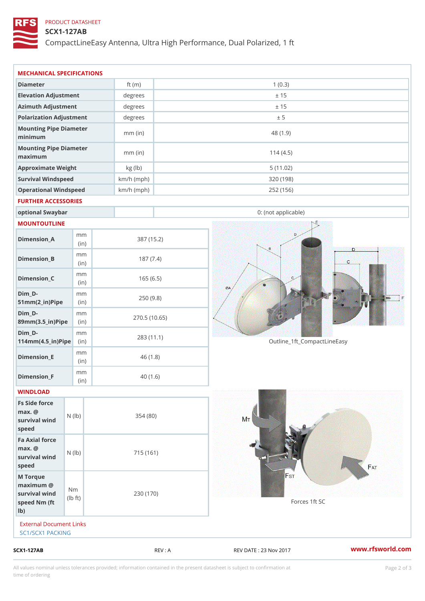## PRODUCT DATASHEET

## SCX1-127AB

CompactLineEasy Antenna, Ultra High Performance, Dual Polarized, 1 ft

| $SCX1 - 127AB$                                                        |                                    |                      | REV : A      | REV DATE : 23 Nov 2017      | www.rfsworld.co |
|-----------------------------------------------------------------------|------------------------------------|----------------------|--------------|-----------------------------|-----------------|
| External Document Links<br>SC1/SCX1 PACKING                           |                                    |                      |              |                             |                 |
| M Torque<br>$maximum$ @<br>survival wind<br>speed Nm (ft<br>$1b$ )    | N <sub>m</sub><br>$\pm t$ )<br>l b | 230 (170)            |              | Forces 1ft SC               |                 |
| Fa Axial force<br>$max.$ @<br>survival $w \nvert N$ ( $ b$ )<br>speed |                                    | 715 (161)            |              |                             |                 |
| Fs Side force<br>$max.$ @<br>survival wind (1b)<br>speed              |                                    | 354(80)              |              |                             |                 |
| WINDLOAD                                                              |                                    |                      |              |                             |                 |
| Dimension_F                                                           | m m<br>(in)                        |                      | 40(1.6)      |                             |                 |
| $Dimension$ = E                                                       | m m<br>(i n)                       |                      | 46(1.8)      |                             |                 |
| $Dim_D -$<br>$114$ m m (4.5 _ ir ) $\sqrt{$ ii p $\sqrt{ }$           | m m                                | 283 (11.1)           |              | Outline_1ft_CompactLineEasy |                 |
| $Dim_D - D -$<br>89mm (3.5_in) Pi(pine)                               | m m                                |                      | 270.5(10.65) |                             |                 |
| $Dim_D - D -$<br>$51mm(2_in)Pip@in$                                   | m m                                |                      | 250(9.8)     |                             |                 |
| $Dimension_C$                                                         | m m<br>(in)                        |                      | 165(6.5)     |                             |                 |
| $Dimension_B$                                                         | m m<br>(in)                        |                      | 187(7.4)     |                             |                 |
| $Dimension_A$                                                         | m m<br>(in)                        |                      | 387 (15.2)   |                             |                 |
| MOUNTOUTLINE                                                          |                                    |                      |              |                             |                 |
| optional Swaybar                                                      |                                    |                      |              | 0: (not applicable)         |                 |
| FURTHER ACCESSORIES                                                   |                                    |                      |              |                             |                 |
| Operational Windspeed                                                 |                                    | $km/h$ (mph)         |              | 252 (156)                   |                 |
| Survival Windspeed                                                    |                                    | $km/h$ (mph)         |              | 320 (198)                   |                 |
| maximum<br>Approximate Weight                                         |                                    | $mm$ (in)<br>kg (lb) |              | 114(4.5)<br>5(11.02)        |                 |
| minimum<br>Mounting Pipe Diameter                                     |                                    | $mm$ (in)            |              | 48 (1.9)                    |                 |
| Polarization Adjustment<br>Mounting Pipe Diameter                     |                                    | degrees              |              | ± 5                         |                 |
| Azimuth Adjustment                                                    |                                    | degrees              |              | ± 15                        |                 |
| Elevation Adjustment                                                  |                                    | degrees              |              | ± 15                        |                 |
| Diameter                                                              |                                    | ft $(m)$             |              | 1(0.3)                      |                 |
|                                                                       |                                    |                      |              |                             |                 |

All values nominal unless tolerances provided; information contained in the present datasheet is subject to Pcapgelio an atio time of ordering